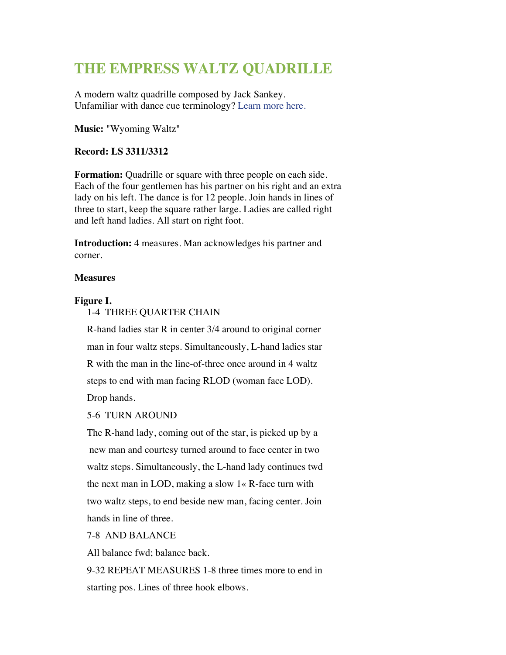# **THE EMPRESS WALTZ QUADRILLE**

A modern waltz quadrille composed by Jack Sankey. Unfamiliar with dance cue terminology? Learn more here.

**Music:** "Wyoming Waltz"

# **Record: LS 3311/3312**

**Formation:** Quadrille or square with three people on each side. Each of the four gentlemen has his partner on his right and an extra lady on his left. The dance is for 12 people. Join hands in lines of three to start, keep the square rather large. Ladies are called right and left hand ladies. All start on right foot.

**Introduction:** 4 measures. Man acknowledges his partner and corner.

# **Measures**

# **Figure I.**

1-4 THREE QUARTER CHAIN

R-hand ladies star R in center 3/4 around to original corner man in four waltz steps. Simultaneously, L-hand ladies star R with the man in the line-of-three once around in 4 waltz steps to end with man facing RLOD (woman face LOD).

Drop hands.

5-6 TURN AROUND

The R-hand lady, coming out of the star, is picked up by a new man and courtesy turned around to face center in two waltz steps. Simultaneously, the L-hand lady continues twd the next man in LOD, making a slow 1« R-face turn with two waltz steps, to end beside new man, facing center. Join hands in line of three.

7-8 AND BALANCE

All balance fwd; balance back.

9-32 REPEAT MEASURES 1-8 three times more to end in starting pos. Lines of three hook elbows.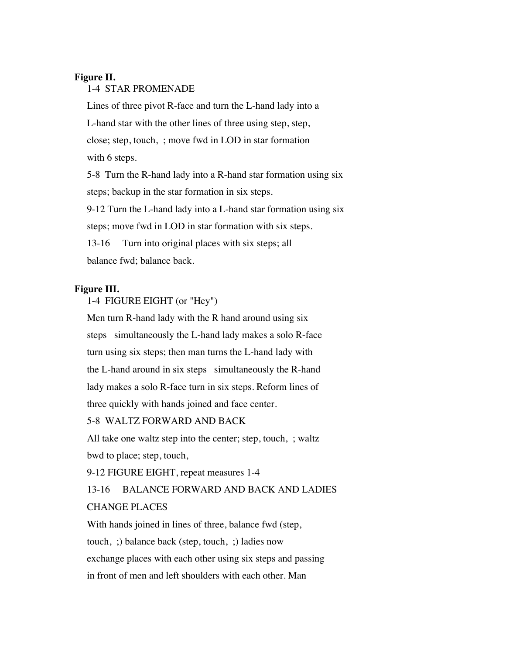#### **Figure II.**

#### 1-4 STAR PROMENADE

Lines of three pivot R-face and turn the L-hand lady into a L-hand star with the other lines of three using step, step, close; step, touch, ; move fwd in LOD in star formation with 6 steps.

5-8 Turn the R-hand lady into a R-hand star formation using six steps; backup in the star formation in six steps.

9-12 Turn the L-hand lady into a L-hand star formation using six steps; move fwd in LOD in star formation with six steps.

13-16 Turn into original places with six steps; all balance fwd; balance back.

#### **Figure III.**

1-4 FIGURE EIGHT (or "Hey")

Men turn R-hand lady with the R hand around using six steps simultaneously the L-hand lady makes a solo R-face turn using six steps; then man turns the L-hand lady with the L-hand around in six steps simultaneously the R-hand lady makes a solo R-face turn in six steps. Reform lines of three quickly with hands joined and face center.

5-8 WALTZ FORWARD AND BACK

All take one waltz step into the center; step, touch, ; waltz bwd to place; step, touch,

9-12 FIGURE EIGHT, repeat measures 1-4

13-16 BALANCE FORWARD AND BACK AND LADIES CHANGE PLACES

With hands joined in lines of three, balance fwd (step, touch, ;) balance back (step, touch, ;) ladies now exchange places with each other using six steps and passing in front of men and left shoulders with each other. Man